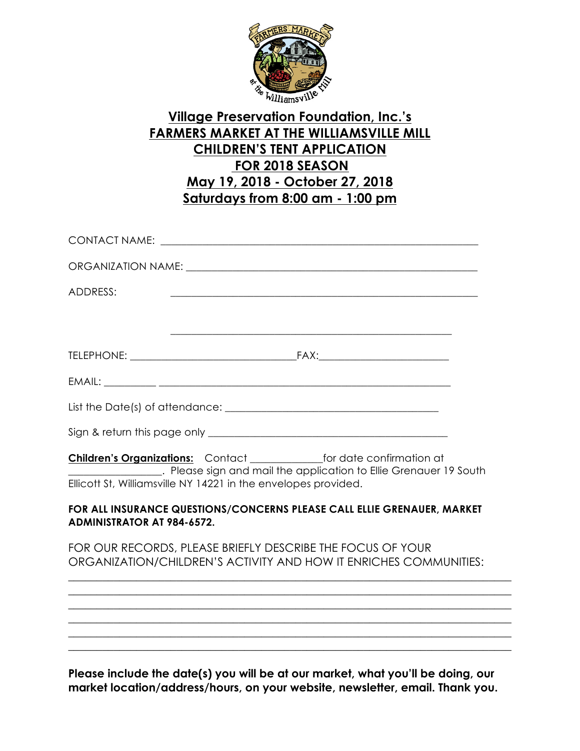

## **Village Preservation Foundation, Inc.'s FARMERS MARKET AT THE WILLIAMSVILLE MILL CHILDREN'S TENT APPLICATION FOR 2018 SEASON May 19, 2018 - October 27, 2018 Saturdays from 8:00 am - 1:00 pm**

| ORGANIZATION NAME: University of the contract of the contract of the contract of the contract of the contract of the contract of the contract of the contract of the contract of the contract of the contract of the contract                       |
|-----------------------------------------------------------------------------------------------------------------------------------------------------------------------------------------------------------------------------------------------------|
| ADDRESS:                                                                                                                                                                                                                                            |
|                                                                                                                                                                                                                                                     |
|                                                                                                                                                                                                                                                     |
|                                                                                                                                                                                                                                                     |
|                                                                                                                                                                                                                                                     |
|                                                                                                                                                                                                                                                     |
| <b>Children's Organizations:</b> Contact _______________for date confirmation at<br><b>EXAMPLE 2018</b> Please sign and mail the application to Ellie Grenauer 19 South<br>Ellicott St, Williamsville NY 14221 in the envelopes provided.           |
| FOR ALL INSURANCE QUESTIONS/CONCERNS PLEASE CALL ELLIE GRENAUER, MARKET<br><b>ADMINISTRATOR AT 984-6572.</b>                                                                                                                                        |
| FOR OUR RECORDS, PLEASE BRIEFLY DESCRIBE THE FOCUS OF YOUR<br>ORGANIZATION/CHILDREN'S ACTIVITY AND HOW IT ENRICHES COMMUNITIES:                                                                                                                     |
| ,我们也不能在这里的时候,我们也不能在这里的时候,我们也不能会在这里的时候,我们也不能会在这里的时候,我们也不能会在这里的时候,我们也不能会在这里的时候,我们也不                                                                                                                                                                   |
| <u> 1989 - Johann Stoff, amerikansk politik (f. 1989)</u>                                                                                                                                                                                           |
| <u> 1989 - Johann Stoff, amerikansk politiker (d. 1989)</u>                                                                                                                                                                                         |
| <b>N</b> $\mathbf{L}$ , and $\mathbf{L}$ and $\mathbf{L}$ and $\mathbf{L}$ and $\mathbf{L}$ are the set of $\mathbf{L}$ and $\mathbf{L}$ and $\mathbf{L}$ and $\mathbf{L}$ are the set of $\mathbf{L}$ and $\mathbf{L}$ are the set of $\mathbf{L}$ |

**Please include the date(s) you will be at our market, what you'll be doing, our market location/address/hours, on your website, newsletter, email. Thank you.**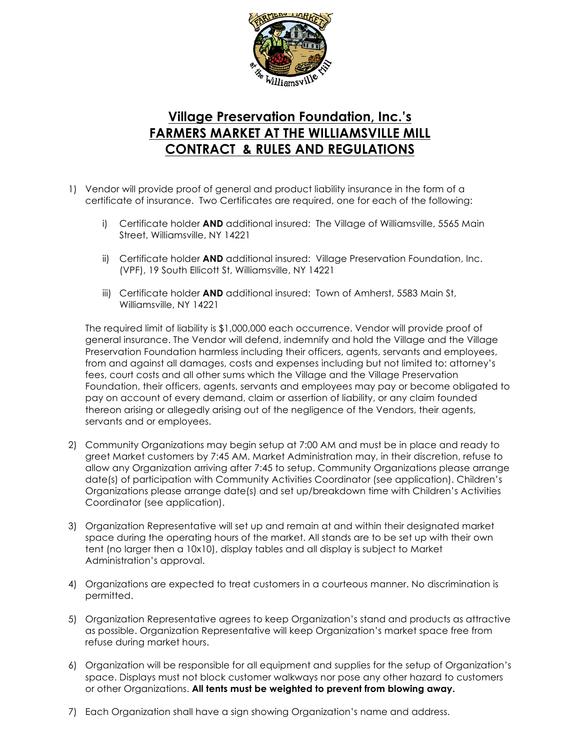

## **Village Preservation Foundation, Inc.'s FARMERS MARKET AT THE WILLIAMSVILLE MILL CONTRACT & RULES AND REGULATIONS**

- 1) Vendor will provide proof of general and product liability insurance in the form of a certificate of insurance. Two Certificates are required, one for each of the following:
	- i) Certificate holder **AND** additional insured: The Village of Williamsville, 5565 Main Street, Williamsville, NY 14221
	- ii) Certificate holder **AND** additional insured: Village Preservation Foundation, Inc. (VPF), 19 South Ellicott St, Williamsville, NY 14221
	- iii) Certificate holder **AND** additional insured: Town of Amherst, 5583 Main St, Williamsville, NY 14221

The required limit of liability is \$1,000,000 each occurrence. Vendor will provide proof of general insurance. The Vendor will defend, indemnify and hold the Village and the Village Preservation Foundation harmless including their officers, agents, servants and employees, from and against all damages, costs and expenses including but not limited to: attorney's fees, court costs and all other sums which the Village and the Village Preservation Foundation, their officers, agents, servants and employees may pay or become obligated to pay on account of every demand, claim or assertion of liability, or any claim founded thereon arising or allegedly arising out of the negligence of the Vendors, their agents, servants and or employees.

- 2) Community Organizations may begin setup at 7:00 AM and must be in place and ready to greet Market customers by 7:45 AM. Market Administration may, in their discretion, refuse to allow any Organization arriving after 7:45 to setup. Community Organizations please arrange date(s) of participation with Community Activities Coordinator (see application). Children's Organizations please arrange date(s) and set up/breakdown time with Children's Activities Coordinator (see application).
- 3) Organization Representative will set up and remain at and within their designated market space during the operating hours of the market. All stands are to be set up with their own tent (no larger then a 10x10), display tables and all display is subject to Market Administration's approval.
- 4) Organizations are expected to treat customers in a courteous manner. No discrimination is permitted.
- 5) Organization Representative agrees to keep Organization's stand and products as attractive as possible. Organization Representative will keep Organization's market space free from refuse during market hours.
- 6) Organization will be responsible for all equipment and supplies for the setup of Organization's space. Displays must not block customer walkways nor pose any other hazard to customers or other Organizations. **All tents must be weighted to prevent from blowing away.**
- 7) Each Organization shall have a sign showing Organization's name and address.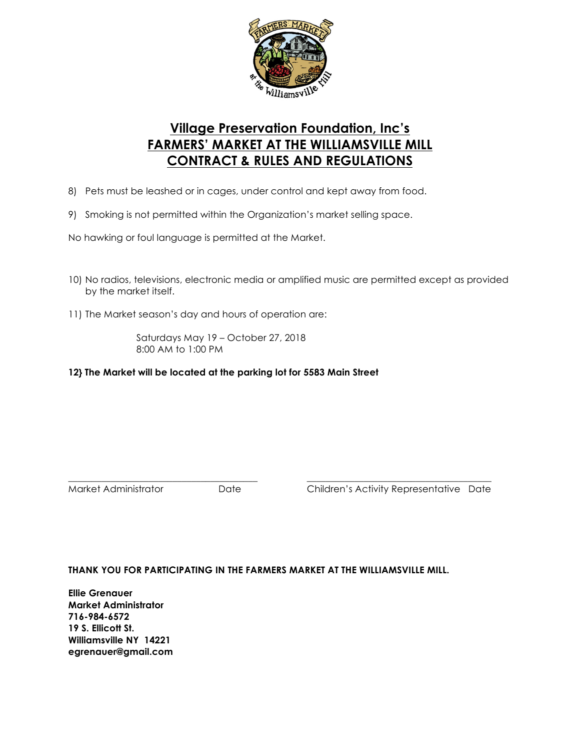

## **Village Preservation Foundation, Inc's FARMERS' MARKET AT THE WILLIAMSVILLE MILL CONTRACT & RULES AND REGULATIONS**

- 8) Pets must be leashed or in cages, under control and kept away from food.
- 9) Smoking is not permitted within the Organization's market selling space.

No hawking or foul language is permitted at the Market.

- 10) No radios, televisions, electronic media or amplified music are permitted except as provided by the market itself.
- 11) The Market season's day and hours of operation are:

Saturdays May 19 – October 27, 2018 8:00 AM to 1:00 PM

#### **12} The Market will be located at the parking lot for 5583 Main Street**

\_\_\_\_\_\_\_\_\_\_\_\_\_\_\_\_\_\_\_\_\_\_\_\_\_\_\_\_\_\_\_\_\_\_\_\_\_\_\_\_ \_\_\_\_\_\_\_\_\_\_\_\_\_\_\_\_\_\_\_\_\_\_\_\_\_\_\_\_\_\_\_\_\_\_\_\_\_\_\_ Market Administrator Date Children's Activity Representative Date

#### **THANK YOU FOR PARTICIPATING IN THE FARMERS MARKET AT THE WILLIAMSVILLE MILL.**

**Ellie Grenauer Market Administrator 716-984-6572 19 S. Ellicott St. Williamsville NY 14221 egrenauer@gmail.com**